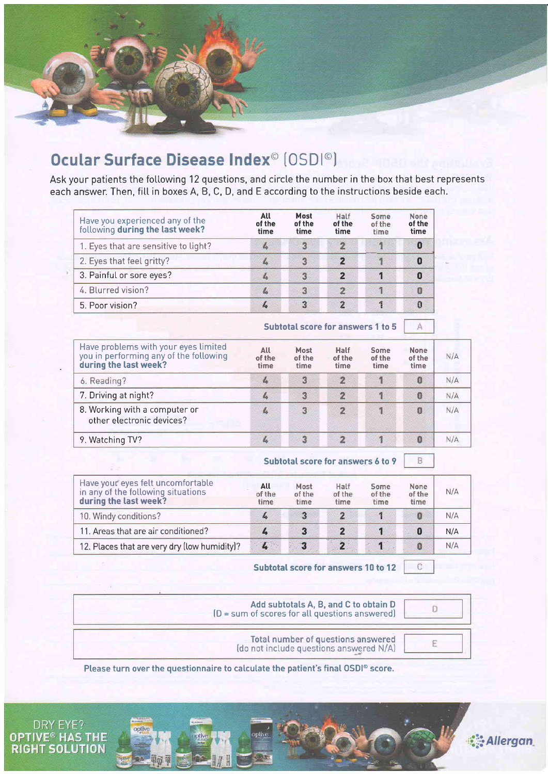

# Ocular Surface Disease Index<sup>©</sup> (OSDI<sup>©</sup>)

Ask your patients the following 12 questions, and circle the number in the box that best represents each answer. Then, fill in boxes A, B, C, D, and E according to the instructions beside each.

| Have you experienced any of the<br>following during the last week? | All<br>of the<br>time | Most<br>of the<br>time | Half<br>of the<br>time | Some<br>of the<br>time | None<br>of the<br>time |
|--------------------------------------------------------------------|-----------------------|------------------------|------------------------|------------------------|------------------------|
| 1. Eyes that are sensitive to light?                               |                       | з                      | 2                      |                        | 0                      |
| 2. Eyes that feel gritty?                                          |                       | з                      |                        |                        |                        |
| 3. Painful or sore eyes?                                           |                       | з                      |                        |                        | O                      |
| 4. Blurred vision?                                                 |                       | З                      | 2                      | 喟                      |                        |
| 5. Poor vision?                                                    |                       | $\mathbb{R}$           | 2                      |                        | Û                      |

| Have problems with your eyes limited<br>you in performing any of the following<br>during the last week? | All<br>of the<br>time | Most<br>of the<br>time | <b>Half</b><br>of the<br>time | <b>Some</b><br>of the<br>time | <b>None</b><br>of the<br>time | N/A |
|---------------------------------------------------------------------------------------------------------|-----------------------|------------------------|-------------------------------|-------------------------------|-------------------------------|-----|
| 6. Reading?                                                                                             | z                     | 3                      | $\overline{2}$                |                               | 0                             | N/A |
| 7. Driving at night?                                                                                    |                       | З                      | 2                             |                               | $\Omega$                      | N/A |
| 8. Working with a computer or<br>other electronic devices?                                              | L                     | 3                      | $\overline{2}$                |                               | $\Omega$                      | N/A |
| 9. Watching TV?                                                                                         |                       | з                      |                               |                               | a                             | N/A |

Subtotal score for answers 1 to 5

A

 $\overline{\mathsf{B}}$ 

C.

#### Subtotal score for answers 6 to 9

| Have your eyes felt uncomfortable<br>in any of the following situations<br>during the last week? | All<br>of the<br>time | Most<br>of the<br>time  | Half<br>of the<br>time | Some<br>of the<br>time | None<br>of the<br>time | N/A |
|--------------------------------------------------------------------------------------------------|-----------------------|-------------------------|------------------------|------------------------|------------------------|-----|
| 10. Windy conditions?                                                                            |                       | 3                       | 2                      | 1                      | o                      | N/A |
| 11. Areas that are air conditioned?                                                              | L                     | $\overline{\mathbf{3}}$ | $\overline{2}$         |                        |                        | N/A |
| 12. Places that are very dry (low humidity)?                                                     | $\sqrt{4}$            | 3 <sup>2</sup>          | $\overline{2}$         |                        |                        | N/A |

#### Subtotal score for answers 10 to 12

| Add subtotals A, B, and C to obtain D<br>$(D = sum of scores for all questions answered)$ |  |
|-------------------------------------------------------------------------------------------|--|
| Total number of questions answered<br>(do not include questions answered N/A)             |  |

Please turn over the questionnaire to calculate the patient's final OSDI<sup>®</sup> score.